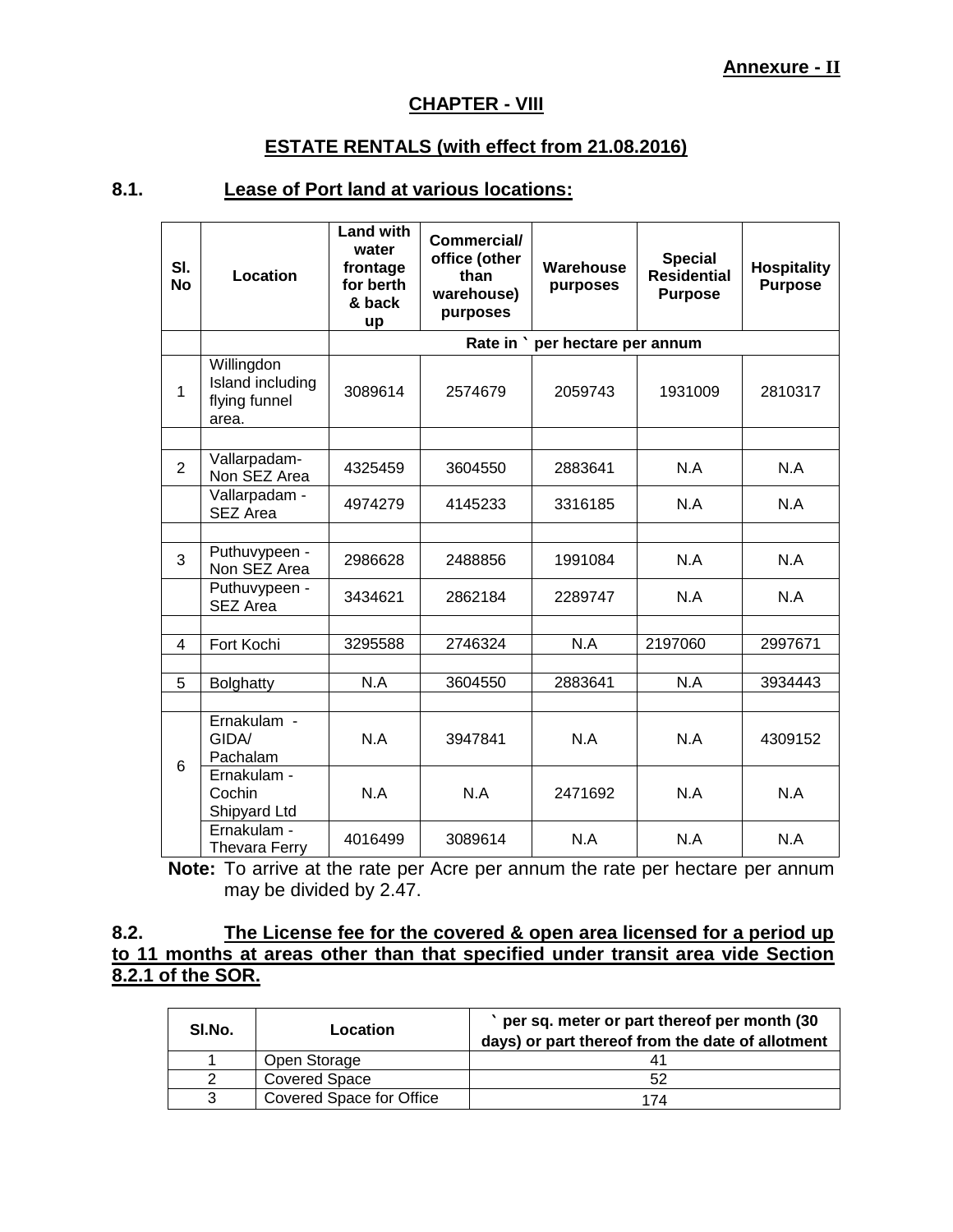# **CHAPTER - VIII**

# **ESTATE RENTALS (with effect from 21.08.2016)**

# **8.1. Lease of Port land at various locations:**

| SI.<br><b>No</b> | Location                                                 | <b>Land with</b><br>water<br>frontage<br>for berth<br>& back<br>up | Commercial/<br>office (other<br>than<br>warehouse)<br>purposes | Warehouse<br>purposes           | <b>Special</b><br><b>Residential</b><br><b>Purpose</b> | <b>Hospitality</b><br><b>Purpose</b> |
|------------------|----------------------------------------------------------|--------------------------------------------------------------------|----------------------------------------------------------------|---------------------------------|--------------------------------------------------------|--------------------------------------|
|                  |                                                          |                                                                    |                                                                | Rate in ` per hectare per annum |                                                        |                                      |
| 1                | Willingdon<br>Island including<br>flying funnel<br>area. | 3089614                                                            | 2574679                                                        | 2059743                         | 1931009                                                | 2810317                              |
|                  |                                                          |                                                                    |                                                                |                                 |                                                        |                                      |
| $\overline{2}$   | Vallarpadam-<br>Non SEZ Area                             | 4325459                                                            | 3604550                                                        | 2883641                         | N.A                                                    | N.A                                  |
|                  | Vallarpadam -<br><b>SEZ Area</b>                         | 4974279                                                            | 4145233                                                        | 3316185                         | N.A                                                    | N.A                                  |
|                  |                                                          |                                                                    |                                                                |                                 |                                                        |                                      |
| 3                | Puthuvypeen -<br>Non SEZ Area                            | 2986628                                                            | 2488856                                                        | 1991084                         | N.A                                                    | N.A                                  |
|                  | Puthuvypeen -<br>SEZ Area                                | 3434621                                                            | 2862184                                                        | 2289747                         | N.A                                                    | N.A                                  |
|                  |                                                          |                                                                    |                                                                |                                 |                                                        |                                      |
| 4                | Fort Kochi                                               | 3295588                                                            | 2746324                                                        | N.A                             | 2197060                                                | 2997671                              |
| 5                | <b>Bolghatty</b>                                         | N.A                                                                | 3604550                                                        | 2883641                         | N.A                                                    | 3934443                              |
|                  |                                                          |                                                                    |                                                                |                                 |                                                        |                                      |
| 6                | Ernakulam -<br>GIDA/<br>Pachalam                         | N.A                                                                | 3947841                                                        | N.A                             | N.A                                                    | 4309152                              |
|                  | Ernakulam -<br>Cochin<br>Shipyard Ltd                    | N.A                                                                | N.A                                                            | 2471692                         | N.A                                                    | N.A                                  |
|                  | Ernakulam -<br><b>Thevara Ferry</b>                      | 4016499                                                            | 3089614                                                        | N.A                             | N.A                                                    | N.A                                  |

**Note:** To arrive at the rate per Acre per annum the rate per hectare per annum may be divided by 2.47.

# **8.2. The License fee for the covered & open area licensed for a period up to 11 months at areas other than that specified under transit area vide Section 8.2.1 of the SOR.**

| SI.No. | Location                 | per sq. meter or part thereof per month (30<br>days) or part thereof from the date of allotment |
|--------|--------------------------|-------------------------------------------------------------------------------------------------|
|        | Open Storage             | 41                                                                                              |
|        | <b>Covered Space</b>     | 52                                                                                              |
| 3      | Covered Space for Office | 174                                                                                             |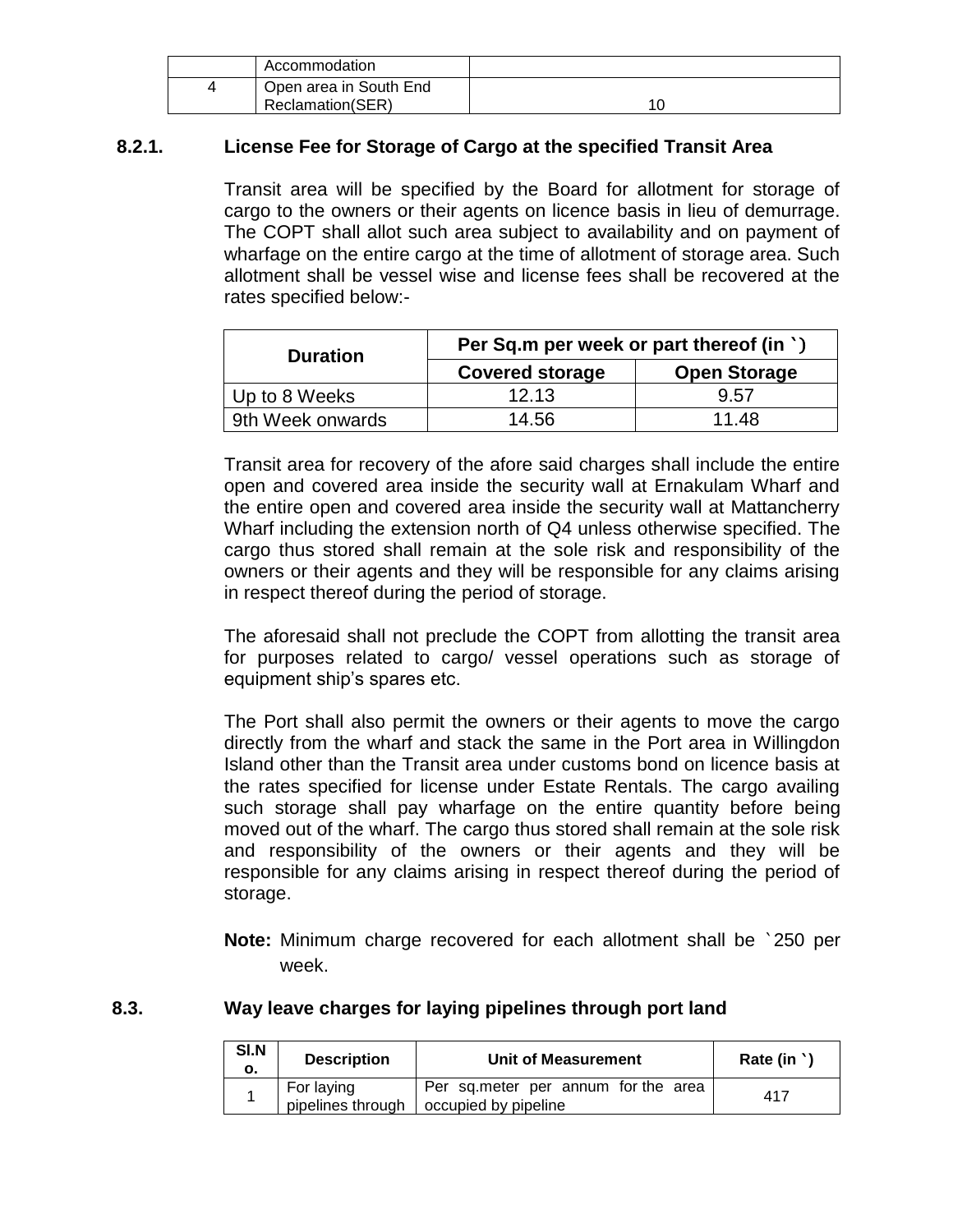| Accommodation          |  |
|------------------------|--|
| Open area in South End |  |
| Reclamation(SER)       |  |

# **8.2.1. License Fee for Storage of Cargo at the specified Transit Area**

Transit area will be specified by the Board for allotment for storage of cargo to the owners or their agents on licence basis in lieu of demurrage. The COPT shall allot such area subject to availability and on payment of wharfage on the entire cargo at the time of allotment of storage area. Such allotment shall be vessel wise and license fees shall be recovered at the rates specified below:-

| <b>Duration</b>  | Per Sq.m per week or part thereof (in `) |                     |  |
|------------------|------------------------------------------|---------------------|--|
|                  | <b>Covered storage</b>                   | <b>Open Storage</b> |  |
| Up to 8 Weeks    | 12.13                                    | 9.57                |  |
| 9th Week onwards | 14.56                                    | 11.48               |  |

Transit area for recovery of the afore said charges shall include the entire open and covered area inside the security wall at Ernakulam Wharf and the entire open and covered area inside the security wall at Mattancherry Wharf including the extension north of Q4 unless otherwise specified. The cargo thus stored shall remain at the sole risk and responsibility of the owners or their agents and they will be responsible for any claims arising in respect thereof during the period of storage.

The aforesaid shall not preclude the COPT from allotting the transit area for purposes related to cargo/ vessel operations such as storage of equipment ship's spares etc.

The Port shall also permit the owners or their agents to move the cargo directly from the wharf and stack the same in the Port area in Willingdon Island other than the Transit area under customs bond on licence basis at the rates specified for license under Estate Rentals. The cargo availing such storage shall pay wharfage on the entire quantity before being moved out of the wharf. The cargo thus stored shall remain at the sole risk and responsibility of the owners or their agents and they will be responsible for any claims arising in respect thereof during the period of storage.

**Note:** Minimum charge recovered for each allotment shall be `250 per week.

#### **8.3. Way leave charges for laying pipelines through port land**

| <b>SI.N</b><br>ο. | <b>Description</b>              | Unit of Measurement                                         | Rate (in ' |
|-------------------|---------------------------------|-------------------------------------------------------------|------------|
|                   | For laying<br>pipelines through | Per sq.meter per annum for the area<br>occupied by pipeline | 417        |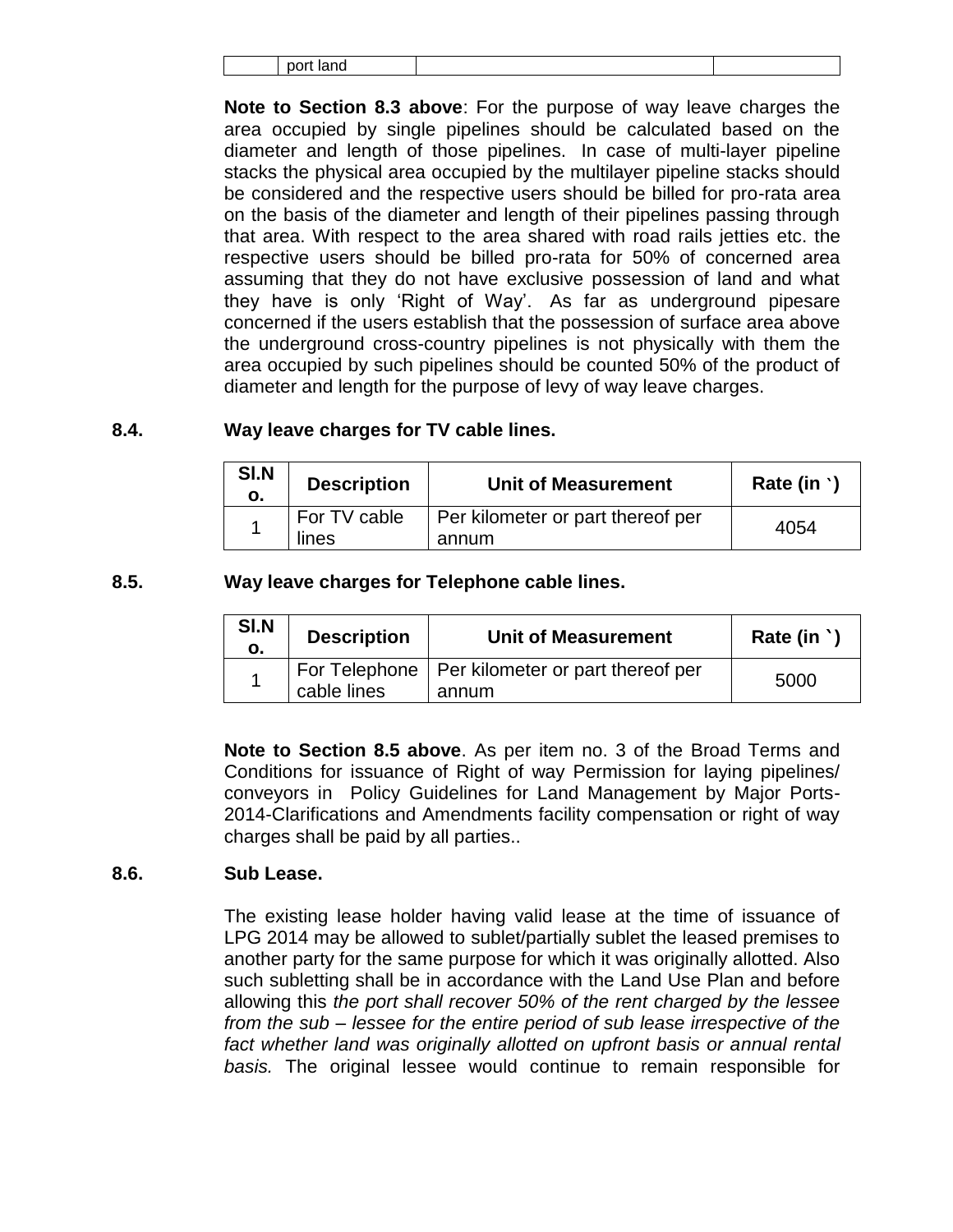port land

**Note to Section 8.3 above**: For the purpose of way leave charges the area occupied by single pipelines should be calculated based on the diameter and length of those pipelines. In case of multi-layer pipeline stacks the physical area occupied by the multilayer pipeline stacks should be considered and the respective users should be billed for pro-rata area on the basis of the diameter and length of their pipelines passing through that area. With respect to the area shared with road rails jetties etc. the respective users should be billed pro-rata for 50% of concerned area assuming that they do not have exclusive possession of land and what they have is only 'Right of Way'. As far as underground pipesare concerned if the users establish that the possession of surface area above the underground cross-country pipelines is not physically with them the area occupied by such pipelines should be counted 50% of the product of diameter and length for the purpose of levy of way leave charges.

# **8.4. Way leave charges for TV cable lines.**

| SI.N<br>о. | <b>Description</b>    | <b>Unit of Measurement</b>                 | Rate (in $\cdot$ ) |
|------------|-----------------------|--------------------------------------------|--------------------|
|            | For TV cable<br>lines | Per kilometer or part thereof per<br>annum | 4054               |

# **8.5. Way leave charges for Telephone cable lines.**

| SI.N<br>О. | <b>Description</b> | <b>Unit of Measurement</b>                                 | Rate (in |
|------------|--------------------|------------------------------------------------------------|----------|
|            | cable lines        | For Telephone   Per kilometer or part thereof per<br>annum | 5000     |

**Note to Section 8.5 above**. As per item no. 3 of the Broad Terms and Conditions for issuance of Right of way Permission for laying pipelines/ conveyors in Policy Guidelines for Land Management by Major Ports-2014-Clarifications and Amendments facility compensation or right of way charges shall be paid by all parties..

#### **8.6. Sub Lease.**

The existing lease holder having valid lease at the time of issuance of LPG 2014 may be allowed to sublet/partially sublet the leased premises to another party for the same purpose for which it was originally allotted. Also such subletting shall be in accordance with the Land Use Plan and before allowing this *the port shall recover 50% of the rent charged by the lessee from the sub – lessee for the entire period of sub lease irrespective of the*  fact whether land was originally allotted on upfront basis or annual rental *basis.* The original lessee would continue to remain responsible for